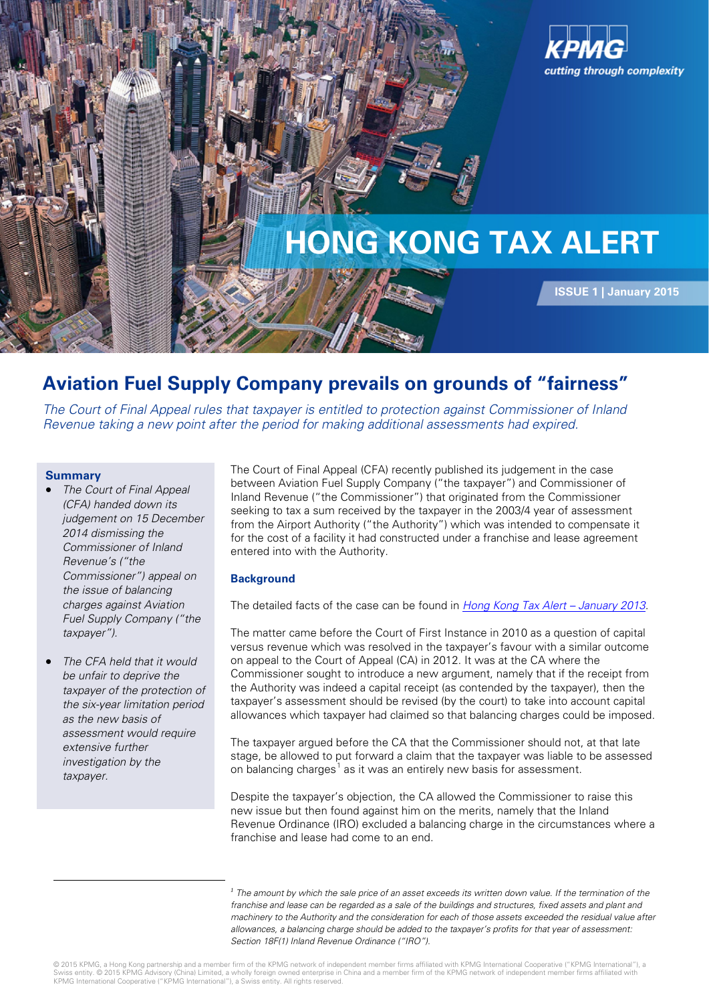

## **Aviation Fuel Supply Company prevails on grounds of "fairness"**

The Court of Final Appeal rules that taxpayer is entitled to protection against Commissioner of Inland Revenue taking a new point after the period for making additional assessments had expired.

#### **Summary**

<span id="page-0-0"></span><u>.</u>

- **The Court of Final Appeal** (CFA) handed down its judgement on 15 December 2014 dismissing the Commissioner of Inland Revenue's ("the Commissioner") appeal on the issue of balancing charges against Aviation Fuel Supply Company ("the taxpayer").
- The CFA held that it would be unfair to deprive the taxpayer of the protection of the six-year limitation period as the new basis of assessment would require extensive further investigation by the taxpayer.

The Court of Final Appeal (CFA) recently published its judgement in the case between Aviation Fuel Supply Company ("the taxpayer") and Commissioner of Inland Revenue ("the Commissioner") that originated from the Commissioner seeking to tax a sum received by the taxpayer in the 2003/4 year of assessment from the Airport Authority ("the Authority") which was intended to compensate it for the cost of a facility it had constructed under a franchise and lease agreement entered into with the Authority.

### **Background**

The detailed facts of the case can be found in *Hong Kong Tax Alert - January 2013*.

The matter came before the Court of First Instance in 2010 as a question of capital versus revenue which was resolved in the taxpayer's favour with a similar outcome on appeal to the Court of Appeal (CA) in 2012. It was at the CA where the Commissioner sought to introduce a new argument, namely that if the receipt from the Authority was indeed a capital receipt (as contended by the taxpayer), then the taxpayer's assessment should be revised (by the court) to take into account capital allowances which taxpayer had claimed so that balancing charges could be imposed.

The taxpayer argued before the CA that the Commissioner should not, at that late stage, be allowed to put forward a claim that the taxpayer was liable to be assessed on balancing charges<sup>[1](#page-0-0)</sup> as it was an entirely new basis for assessment.

Despite the taxpayer's objection, the CA allowed the Commissioner to raise this new issue but then found against him on the merits, namely that the Inland Revenue Ordinance (IRO) excluded a balancing charge in the circumstances where a franchise and lease had come to an end.

*<sup>1</sup>* The [amount](http://www.investorwords.com/205/amount.html) by which th[e sale price](http://www.investorwords.com/6654/sale_price.html) of an [asset](http://www.investorwords.com/273/asset.html) [exceeds](http://www.investorwords.com/9617/exceed.html) its [written down value.](http://www.investorwords.com/5351/written_down_value.html) If the termination of the franchise and lease can be regarded as a sale of the buildings and structures, fixed assets and plant and machinery to the Authority and the consideration for each of those assets exceeded the residual value after allowances, a balancing charge should be added to the taxpayer's profits for that year of assessment: Section 18F(1) Inland Revenue Ordinance ("IRO").

© 2015 KPMG, a Hong Kong partnership and a member firm of the KPMG network of independent member firms affiliated with KPMG International Cooperative ("KPMG International"), a<br>Swiss entity. © 2015 KPMG Advisory (China) Lim KPMG International Cooperative ("KPMG International"), a Swiss entity. All rights reserved.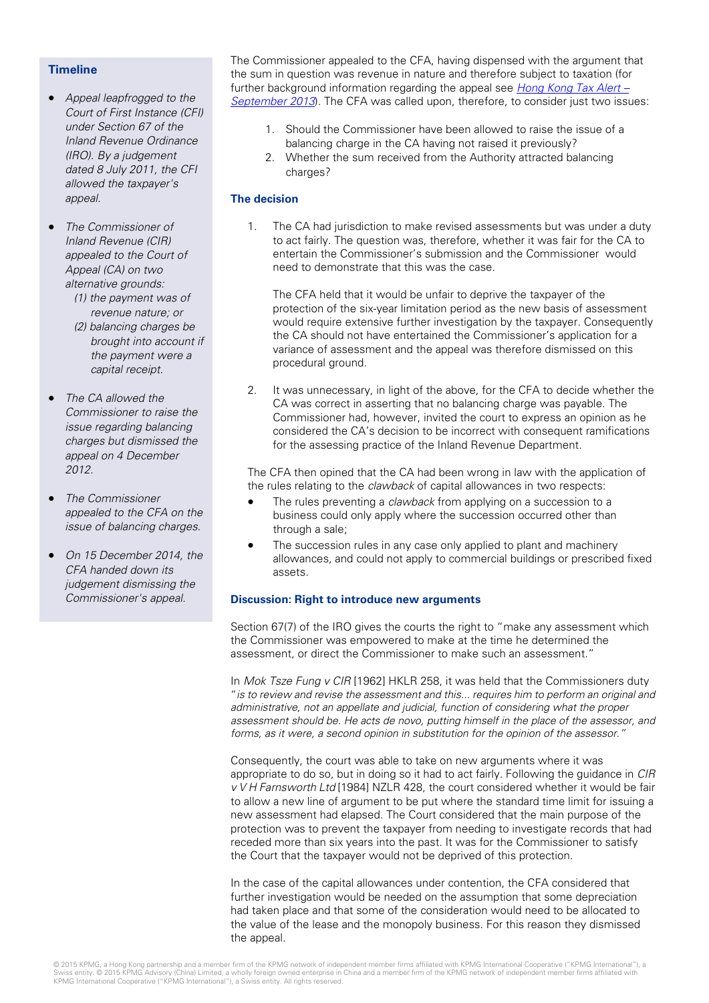#### **Timeline**

• [Appeal leapfrogged to the](http://www.kpmg.com/CN/en/IssuesAndInsights/ArticlesPublications/Newsletters/Tax-alert/Documents/tax-alert-1309-16-Court-of-Final-Appeal-AFSC-Braitrim-v3.pdf)  Court of First Instance (CFI) under Section 67 of the Inland Revenue Ordinance (IRO). By a judgement dated 8 July 2011, the CFI allowed the taxpayer's appeal.

• The Commissioner of Inland Revenue (CIR) appealed to the Court of Appeal (CA) on two alternative grounds:

- (1) the payment was of revenue nature; or (2) balancing charges be brought into account if the payment were a capital receipt.
- The CA allowed the Commissioner to raise the issue regarding balancing charges but dismissed the appeal on 4 December 2012.
- The Commissioner appealed to the CFA on the issue of balancing charges.
- On 15 December 2014, the CFA handed down its judgement dismissing the Commissioner's appeal.

The Commissioner appealed to the CFA, having dispensed with the argument that the sum in question was revenue in nature and therefore subject to taxation (for further background information regarding the appeal see  $Hong Kong Tax$  Alert – September 2013). The CFA was called upon, therefore, to consider just two issues:

- 1. Should the Commissioner have been allowed to raise the issue of a balancing charge in the CA having not raised it previously?
- 2. Whether the sum received from the Authority attracted balancing charges?

## **The decision**

1. The CA had jurisdiction to make revised assessments but was under a duty to act fairly. The question was, therefore, whether it was fair for the CA to entertain the Commissioner's submission and the Commissioner would need to demonstrate that this was the case.

The CFA held that it would be unfair to deprive the taxpayer of the protection of the six-year limitation period as the new basis of assessment would require extensive further investigation by the taxpayer. Consequently the CA should not have entertained the Commissioner's application for a variance of assessment and the appeal was therefore dismissed on this procedural ground.

2. It was unnecessary, in light of the above, for the CFA to decide whether the CA was correct in asserting that no balancing charge was payable. The Commissioner had, however, invited the court to express an opinion as he considered the CA's decision to be incorrect with consequent ramifications for the assessing practice of the Inland Revenue Department.

The CFA then opined that the CA had been wrong in law with the application of the rules relating to the clawback of capital allowances in two respects:

- The rules preventing a *clawback* from applying on a succession to a business could only apply where the succession occurred other than through a sale;
- The succession rules in any case only applied to plant and machinery allowances, and could not apply to commercial buildings or prescribed fixed assets.

#### **Discussion: Right to introduce new arguments**

Section 67(7) of the IRO gives the courts the right to "make any assessment which the Commissioner was empowered to make at the time he determined the assessment, or direct the Commissioner to make such an assessment."

In Mok Tsze Fung v CIR [1962] HKLR 258, it was held that the Commissioners duty "is to review and revise the assessment and this... requires him to perform an original and administrative, not an appellate and judicial, function of considering what the proper assessment should be. He acts de novo, putting himself in the place of the assessor, and forms, as it were, a second opinion in substitution for the opinion of the assessor."

Consequently, the court was able to take on new arguments where it was appropriate to do so, but in doing so it had to act fairly. Following the guidance in CIR v V H Farnsworth Ltd [1984] NZLR 428, the court considered whether it would be fair to allow a new line of argument to be put where the standard time limit for issuing a new assessment had elapsed. The Court considered that the main purpose of the protection was to prevent the taxpayer from needing to investigate records that had receded more than six years into the past. It was for the Commissioner to satisfy the Court that the taxpayer would not be deprived of this protection.

In the case of the capital allowances under contention, the CFA considered that further investigation would be needed on the assumption that some depreciation had taken place and that some of the consideration would need to be allocated to the value of the lease and the monopoly business. For this reason they dismissed the appeal.